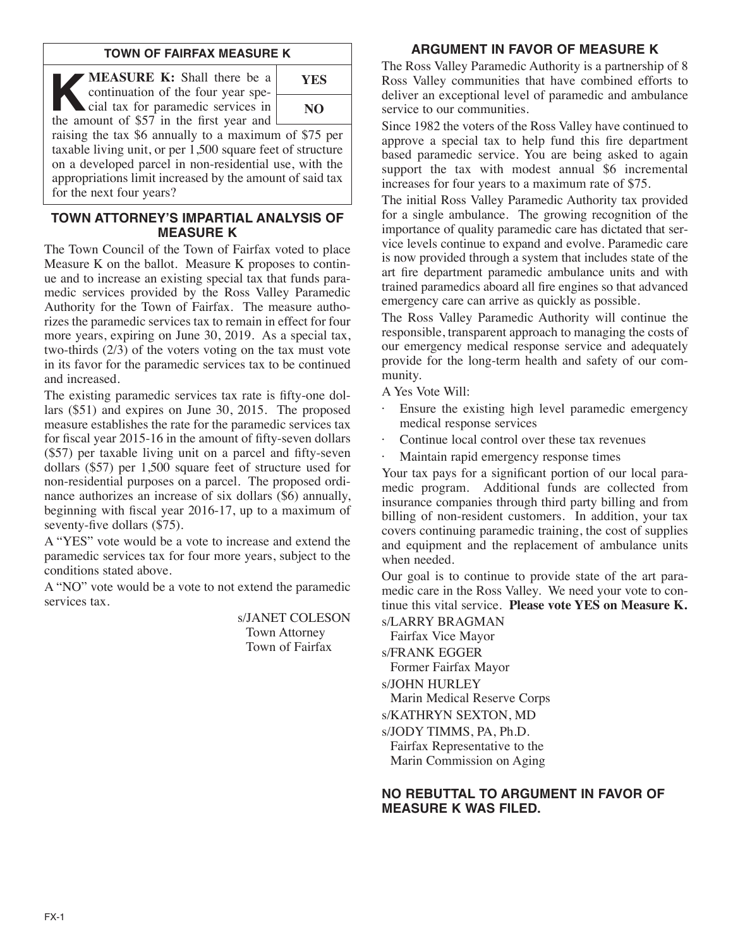## **TOWN OF FAIRFAX MEASURE K**

**KEASURE K:** Shall there be a continuation of the four year special tax for paramedic services in continuation of the four year special tax for paramedic services in the amount of \$57 in the first year and



raising the tax \$6 annually to a maximum of \$75 per taxable living unit, or per 1,500 square feet of structure on a developed parcel in non-residential use, with the appropriations limit increased by the amount of said tax for the next four years?

## **TOWN ATTORNEY'S IMPARTIAL ANALYSIS OF MEASURE K**

The Town Council of the Town of Fairfax voted to place Measure K on the ballot. Measure K proposes to continue and to increase an existing special tax that funds paramedic services provided by the Ross Valley Paramedic Authority for the Town of Fairfax. The measure authorizes the paramedic services tax to remain in effect for four more years, expiring on June 30, 2019. As a special tax, two-thirds (2/3) of the voters voting on the tax must vote in its favor for the paramedic services tax to be continued and increased.

The existing paramedic services tax rate is fifty-one dollars (\$51) and expires on June 30, 2015. The proposed measure establishes the rate for the paramedic services tax for fiscal year 2015-16 in the amount of fifty-seven dollars (\$57) per taxable living unit on a parcel and fifty-seven dollars (\$57) per 1,500 square feet of structure used for non-residential purposes on a parcel. The proposed ordinance authorizes an increase of six dollars (\$6) annually, beginning with fiscal year 2016-17, up to a maximum of seventy-five dollars (\$75).

A "YES" vote would be a vote to increase and extend the paramedic services tax for four more years, subject to the conditions stated above.

A "NO" vote would be a vote to not extend the paramedic services tax.

> s/JANET COLESON Town Attorney Town of Fairfax

# **ARGUMENT IN FAVOR OF MEASURE K**

The Ross Valley Paramedic Authority is a partnership of 8 Ross Valley communities that have combined efforts to deliver an exceptional level of paramedic and ambulance service to our communities.

Since 1982 the voters of the Ross Valley have continued to approve a special tax to help fund this fire department based paramedic service. You are being asked to again support the tax with modest annual \$6 incremental increases for four years to a maximum rate of \$75.

The initial Ross Valley Paramedic Authority tax provided for a single ambulance. The growing recognition of the importance of quality paramedic care has dictated that service levels continue to expand and evolve. Paramedic care is now provided through a system that includes state of the art fire department paramedic ambulance units and with trained paramedics aboard all fire engines so that advanced emergency care can arrive as quickly as possible.

The Ross Valley Paramedic Authority will continue the responsible, transparent approach to managing the costs of our emergency medical response service and adequately provide for the long-term health and safety of our community.

A Yes Vote Will:

- Ensure the existing high level paramedic emergency medical response services
- Continue local control over these tax revenues
- Maintain rapid emergency response times

Your tax pays for a significant portion of our local paramedic program. Additional funds are collected from insurance companies through third party billing and from billing of non-resident customers. In addition, your tax covers continuing paramedic training, the cost of supplies and equipment and the replacement of ambulance units when needed.

Our goal is to continue to provide state of the art paramedic care in the Ross Valley. We need your vote to continue this vital service. **Please vote YES on Measure K.**

s/LARRY BRAGMAN Fairfax Vice Mayor s/FRANK EGGER Former Fairfax Mayor s/JOHN HURLEY

Marin Medical Reserve Corps

s/KATHRYN SEXTON, MD

s/JODY TIMMS, PA, Ph.D.

Fairfax Representative to the Marin Commission on Aging

## **NO REBUTTAL TO ARGUMENT IN FAVOR OF MEASURE K WAS FILED.**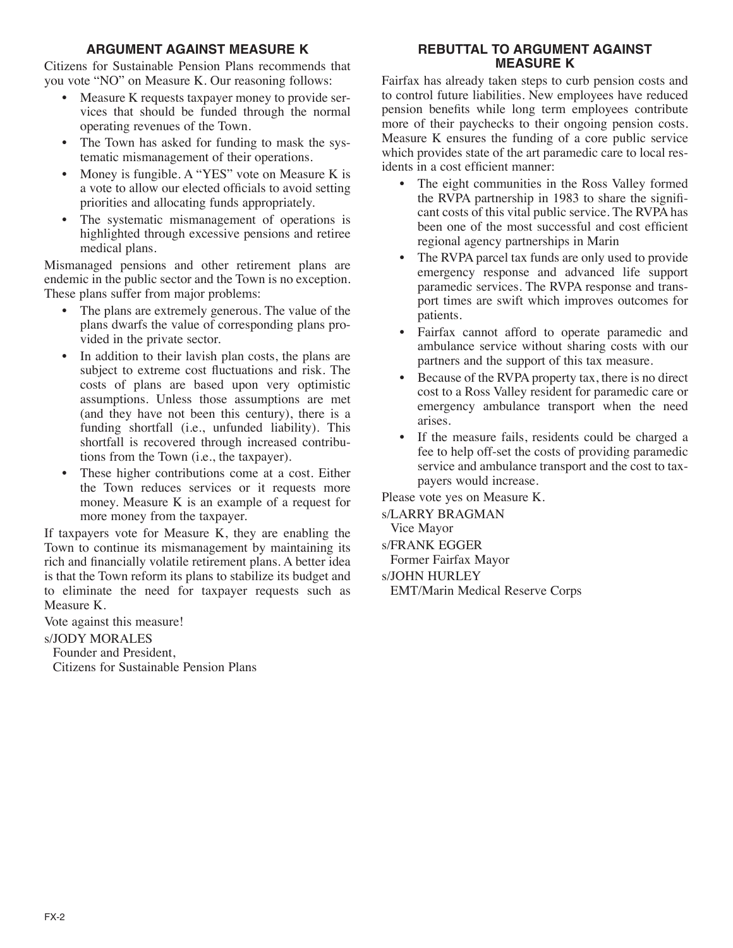# **ARGUMENT AGAINST MEASURE K**

Citizens for Sustainable Pension Plans recommends that you vote "NO" on Measure K. Our reasoning follows:

- Measure K requests taxpayer money to provide services that should be funded through the normal operating revenues of the Town.
- The Town has asked for funding to mask the systematic mismanagement of their operations.
- Money is fungible. A "YES" vote on Measure K is a vote to allow our elected officials to avoid setting priorities and allocating funds appropriately.
- The systematic mismanagement of operations is highlighted through excessive pensions and retiree medical plans.

Mismanaged pensions and other retirement plans are endemic in the public sector and the Town is no exception. These plans suffer from major problems:

- The plans are extremely generous. The value of the plans dwarfs the value of corresponding plans provided in the private sector.
- In addition to their lavish plan costs, the plans are subject to extreme cost fluctuations and risk. The costs of plans are based upon very optimistic assumptions. Unless those assumptions are met (and they have not been this century), there is a funding shortfall (i.e., unfunded liability). This shortfall is recovered through increased contributions from the Town (i.e., the taxpayer).
- These higher contributions come at a cost. Either the Town reduces services or it requests more money. Measure K is an example of a request for more money from the taxpayer.

If taxpayers vote for Measure K, they are enabling the Town to continue its mismanagement by maintaining its rich and financially volatile retirement plans. A better idea is that the Town reform its plans to stabilize its budget and to eliminate the need for taxpayer requests such as Measure K.

Vote against this measure!

#### s/JODY MORALES

Founder and President, Citizens for Sustainable Pension Plans

# **REBUTTAL TO ARGUMENT AGAINST MEASURE K**

Fairfax has already taken steps to curb pension costs and to control future liabilities. New employees have reduced pension benefits while long term employees contribute more of their paychecks to their ongoing pension costs. Measure K ensures the funding of a core public service which provides state of the art paramedic care to local residents in a cost efficient manner:

- The eight communities in the Ross Valley formed the RVPA partnership in 1983 to share the significant costs of this vital public service. The RVPA has been one of the most successful and cost efficient regional agency partnerships in Marin
- The RVPA parcel tax funds are only used to provide emergency response and advanced life support paramedic services. The RVPA response and transport times are swift which improves outcomes for patients.
- Fairfax cannot afford to operate paramedic and ambulance service without sharing costs with our partners and the support of this tax measure.
- Because of the RVPA property tax, there is no direct cost to a Ross Valley resident for paramedic care or emergency ambulance transport when the need arises.
- If the measure fails, residents could be charged a fee to help off-set the costs of providing paramedic service and ambulance transport and the cost to taxpayers would increase.

Please vote yes on Measure K.

s/LARRY BRAGMAN Vice Mayor s/FRANK EGGER Former Fairfax Mayor

s/JOHN HURLEY

EMT/Marin Medical Reserve Corps